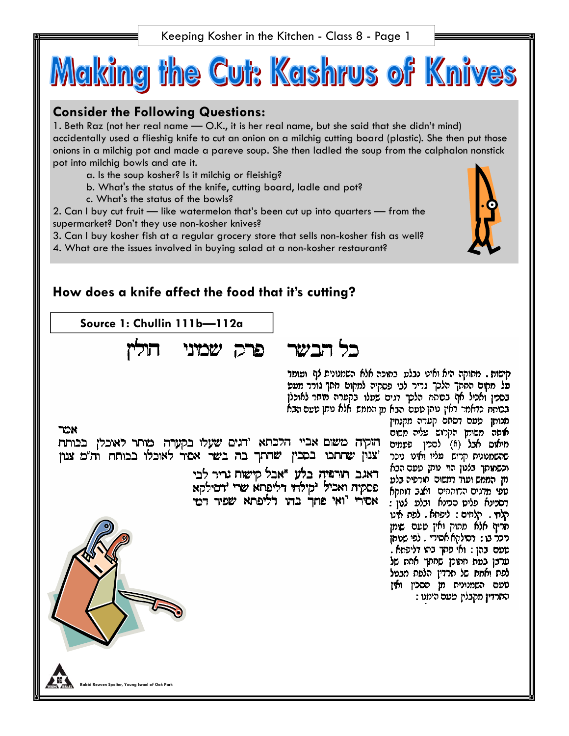Keeping Kosher in the Kitchen - Class 8 - Page 1



### **Consider the Following Questions:**

1. Beth Raz (not her real name — O.K., it is her real name, but she said that she didn't mind) accidentally used a flieshig knife to cut an onion on a milchig cutting board (plastic). She then put those onions in a milchig pot and made a pareve soup. She then ladled the soup from the calphalon nonstick pot into milchig bowls and ate it.

- a. Is the soup kosher? Is it milchig or fleishig?
- b. What's the status of the knife, cutting board, ladle and pot?
- c. What's the status of the bowls?

2. Can I buy cut fruit — like watermelon that's been cut up into quarters — from the supermarket? Don't they use non-kosher knives?

3. Can I buy kosher fish at a regular grocery store that sells non-kosher fish as well?

4. What are the issues involved in buying salad at a non-kosher restaurant?

### **How does a knife affect the food that it's cutting?**

**Source 1: Chullin 111b—112a** 



קישות . מתוקה היא ואינו נבלט. בתוכה אלא השמנונית לוא וטומד פל מקים החקך הלכך גריר לבי פסקיה למקום חתך גורר מטט בסמן ואכיל אף בסתח הלכך דגים שעלו בקערה מותר לאוכלן בכותת כדאמר דאין טתן טעם הבא מן הממש אלא טתן טעם הבא

אמר הזקיה משום אביי הלכתא 'דגים שעלו בקערה מיתר לאוכלן בכותח צנון שתתכו בסכין שתתך בה בשר אסור לאוכלו בכותח וה"מ צנון"

> ראגב חורפיה בלע "אבל קישות נריר לבי פסקיה ואכיל יקילוד דליפתא שרי ידסילקא אסירי <sup>ר</sup>ואי פתך בדו דליפתא שפיר דמי

כל הבשר

מנותן טעם דסתם קעדה מקנחין אוסה משומן הקרוש עליה משום מיאוס אבל (6) לסכין פעמים שהשמנונית קרוש עליו ואינו ניכר וכשמותך בלטן הוי טתן טעם הבא מן הממש ועוד דמשום תורפיה בלע טפי מדגים הרותחים. ואגב דוחקא דסכינא פליס סכינא ובלע לנון : קלחי . קלחים : ליפתא . לפת איני חרים אלא מתוק ואין סעם שומן ניכר בו : דסילקא אסירי . לפי שניתן פעם בהן : ואי פקך בהו דליפתא . פרבן בפת חתוכן שחתך אחת של לפת ואחת של תרדין הלפת מבטל טעם השמנונית מן הסכין ואין התרדין מקבלין טעם הימנו :

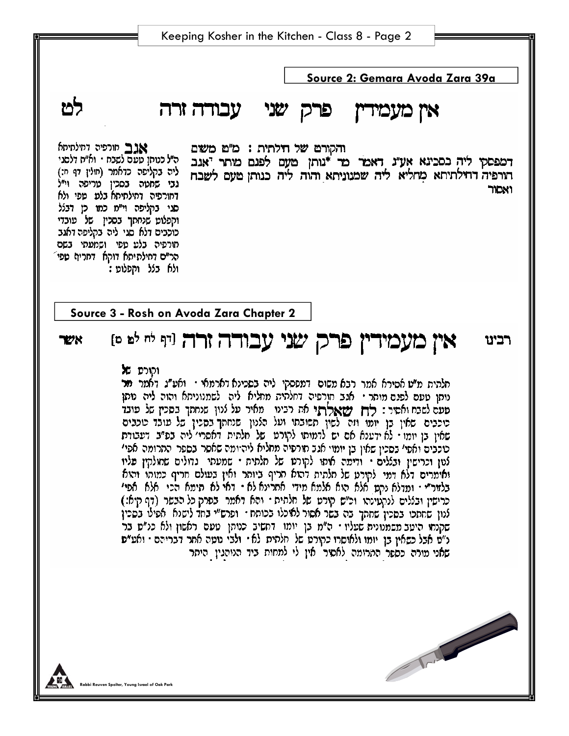**Source 2: Gemara Avoda Zara 39a**  אין מעמידין פרק שני עבודה זרה והקורם של חילתית : מ"ם משום דמפסקי ליה בסכינא אע"נ דאמר מר \*נותן מעם לפנם מותר יאנב הורפיה דחילתיתא מחליא ליה שמנוניתא והוה ליה כנותן מעם לשבח ואמר

אגב חורפיה דחילתיתא ה״ל כנוחו טעם לשבח • וא״ח דלסגי ליה בקליפה כדאמר (חולין דף ח:) גני שחטה בסכין טריפה וי״ל דחורפיה דחילתיתא בלע טפי ולא סגי בקליפה וי״מ כמו כן דבלל וקפלוט שנחתך בסכין של עובדי כוכבים דלא סגי ליה בקליפה דאגב תורפיה בלט טפי ושמעתי בשם הר״ם דחילתיתא דוקא דחריף טפי ולא בלל וקפלוט :

හ්

**Source 3 - Rosh on Avoda Zara Chapter 2** 

#### אין מעמידין פרק שני עבודה זרה ניף לי לפ פ רכינו אשר

### והורס של

חלהית מ"ט אסירא אמר רבא משום. דמססקי ליה בסכינא דארמאי - ואט"ג דאמר מר נותן טעם לפנם מותר · אגב חורפיה דחלתית מחליא ליה לשמנוניתא והוה ליה נותן סעם לשבח ואסור : **רוץ ישאלרו**י את רבינו - מאיר על לנון שנחתך בסכין של פ**וב**ד כוכבים שאין בן יומו וזה לשון תשובתו ועל הלנון שנחתך בסכין של עובד טכבים שאין בן יומו • לא ירענא אם יש לדמותו לקורט. של חלתית דאסרי ליה בפ"ב. דעבודת כוכבים ואפי׳ בסבין שאין בן יומוי אגב חורפיה מחליא ליהיומה שאסר בספר החרומה אפי׳ לטן וכרישין ובללים · ודימה איתו לקורט של חלתית · שמעתי גדולים שחולקין פליו ואומרים דלא דמי לקורט של חלתית דהוא חריף ביותר ואין בעולם חריף כמותו והוא בלזור״ · ותדלא נקט אלא הוא אלמא מידי. אחרינא לא · דאי לא תימא הכי. אלא אפי׳ כרישין ובללים לנקטינתו וכ"ש קורט של חלתית ו והא דאמר בפרק כל הבשר (דף קיא:) לנון שחתכו בסכין שחתך בה בשר אסור לאוכלו בכוחח · ופרש״י בחד לישנא · אפילו בסכין שקנחי היעב משמנונית שעליו - ה"מ בן יומו. דחשיב כנוהן טעם ראשון ולא כנ"ס בר נ"ס אבל כשאין בן יומו ולאוסרו כקורט של חלתית לא - ולבי נוטה אחר דבריהם - ואע"ס שאני מורה כספר התרומה לאסור אין לי למחות ביד הנוהגין היתר

The Contract of the Contract of the Contract of the Contract of the Contract of the Contract of the Contract of The Contract of The Contract of The Contract of The Contract of The Contract of The Contract of The Contract o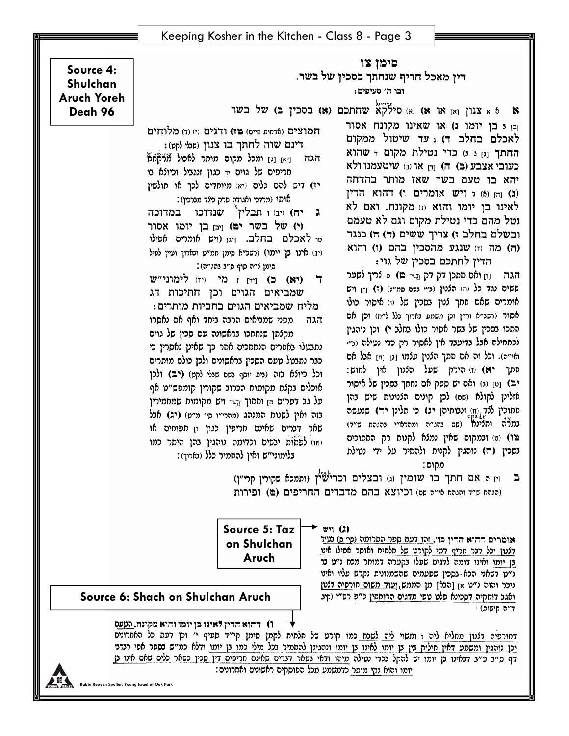**Rabbi Reuven Spolter, Young Israel of Oak Park** 

יומו והוא נקי מותר כדמשמע מכל הפוסקים ראשונים ואחרונים:

**ו)** דהוא הדין לאינו בן יומו והוא מקונח. העעס דחורפיה דלנון מחליא ליה ז ומשוי ליה לשבח כמו קורט של חלתית לקמן סימן קי״ד סעיף י׳ וכן דעת כל האחרונים וכן נוהגין ומשמע דאין חילוק בין בן יומו לאינו בן יומו ונהגינן להחמיר בכל מילי כמו בן יומו ודלא כמ״ש בספר אפי רצרני דף ס״ב ע״ב דבאינו בן יומו יש להקל בכדי נטילה מיהו ודאי בשאר דברים שאינם חריפים דין סכין כשאר כלים שאם אינו בן

**Source 6: Shach on Shulchan Aruch** 

**Source 5: Taz on Shulchan Aruch** 

(הגהת ש״ד והגהת או״ה שם) וכיוצא בהם מדברים החריפים (ם) ופירות

ב [1] ה אם חתך בו שומין (ג) ובצלים וכרישאין (ותמכא סקורין קרי"ן)

אומרים דהוא הדין כו'. זהו דעת ספר התרומה (סי ס) נטור דלנון וכל דבר חריף דמי לקורט של חלמית ואוסר אפילו אינו בן יומו ואינו דומה לדגים שעלו בקערה דמותר מכח נ״ט בר נ״ט דשאני הכא נסכין שפעמים שהשמנונית נקרש עליו ואינו ניכר והוה נ״ט אן [הבאן מן הממש,ועוד משום סורפיה דלנון ואגב דוחקיה דסכינא פלט טפי מדגים הרוקחין כ״פ רש״י (קיב

ד״ה קישום)

מקום:

כבר נתבטל טעם הסכין בראשונים ולכן כולם מותרים וכל כיולא בזה (נית יוסף נשם שנלי לקט) (יב) ולכן יב) [ט] (נ) ואם יש ספק אם נחתך בסכין של איסור אוכלים בקלת מקומות הכרוב שקורין קומפש״ט אף אזלינן לקולא (שם) לכן קונים הלנונות שיש בהן על גב דפרוס הן וחתוך השי ויש מקומות שמחמירין סמוכין ל*לד*, (ח) זנבומיהן **יג)** כי תלינן **יד)** שנעשה בזה ואין לשנות המנהג (מהרי"ו סי' מ"ט) (יג) אבל במל"ה וחלינא (שם בהג״ה ומהרא״י בהגהת ש״ד) שאר דברים שאינם חריפין כגון ון תפוחים או פו) (b) ובמקום שאין נמלא לקנות רק החתוכים (טו) לפתות יבשים וכדומה נוהגין בהן היתר כמו בסכין (ה) נוהגין לקנות ולהתיר על ידי נטילת בלימוני״ש ואין להחמיר כלל (בארוך):

 $rr(2)$ 

הגה

**Source 4: Shulchan Aruch Yoreh Deah 96** 

ובו ה' סעיפים: א א צנון  $_{[x]}$  או א או א (א) או א (א) או א צוון צוון צו א (א שחתכם (א) בסכין ב) א ל בשר

דין מאכל חריף שנחתך בסכין של בשר.

ובז כבו יומו ג) או שאינו מקונח אסור לאכלם בחלב ד) . עד שיטול ממקום החתך וען ג ט כדי נטילת מקום דשהוא כעובי אצבע (ב) ה) וח או (ב) שיטעמנו ולא יהא בו טעם בשר שאז מותר בהדחה (ג) והן (6) ל ויש אומרים ו) דהוא הדין לאינו בן יומו והוא (ג) מקונח. ואם לא נטל מהם כדי נטילת מקום וגם לא טעמם ובשלם בחלב ז) צריך ששים (ד) ה) כנגד

והוא (ד) מה (ד) שנגע מהסכיז בהם (ו) והוא הדין לחתכם בסכין של גוי: הגה נין ואס ממכן דק דק וגדי בי) ט לריך לשער ששים נגד כל (ה) הלנון (נ״י נשם סמ״ג) (ז) וזן ויש אומרים שאם חתך לנון בסכין של וו) איסור כולו אסור (רשב״א ור״ן וכן משמע בארוך כלל ל״ח) וכן אם חתכו בסכין של בשר אסור כולו בחלב י) וכן נוהגין לכתחילה אבל בדיעבד אין לאסור רק כדי נטילה (ב״י ואו״ה). וכל זה אם חתך הלנון עלמו ובן וחן אבל אם תתך **יא)** (ז) הירק שעל הלנון אין לחוש:

םימן צו

חמוצים (ארסות סייס) פו) ודגים (י) (ד) מלוחים

דינם שוה לחתך בו צנון (שלי לקט):

הגה ניאן וגן ומכל מקוס מותר לאכול מלקחת

יז) דיש להם כלים (יא) מיוחדים לכך או חולשין

אותו (מרדכי ואגודה פרק כילד מברכין):

טו לאכלם בחלב. ויגן (ויש אומרים אפילו

(יג) אינו בן יומו) (רשב"א סימן תמ"ט ובארוך ועיין לעיל

סימן ל״ה סוף ס״ב בהג״ה):

מליח שמביאים הגוים בחביות מותרים:

נתבטלו באחרים הנחתכים אחר כך שאינן נאסרין כי

(יא) כ) [יד] ז מי (יד) לימוני"ש

שמביאים הגוים וכן חתיכות דג

מפני שמביאים הרבה ביחד ואף אם נאסרו

מקלתן שנחתכו בראשונה עם סכין של גוים

(י) של בשר ימ) ויבז בז יומו אסור

ג יח) ויב) ו תבלין 2 שנדוכו

חריפים של גוים יד כגון זנגביל וכיולא בו

במדוכה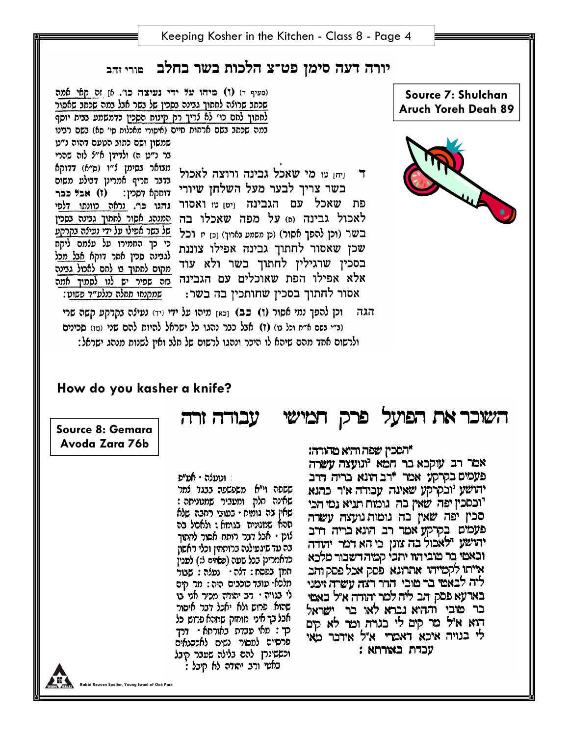**Rabbi Reuven Spolter, Young Israel of Oak Park** 

שאינה חלק ומעביר שמנוניסה: שאין בה גומות - בעובי רחבה שלא תהא שמנונית בגומא : ולאסל בה לוטן • אבל דבר רותח אסור למתוך - בה עד שיגעילנה ברותחיז וכלי ראשוז כדאמרינן בכל שפה (פאזים ל:) לפנין תמך בפסח: דלה · נעלה : שבור מלכאי עובד כוכבים היה : מר מים לי בגויה • רב יהודה מכיר אני בו שהוא פרוש ולא יאכל דבר איסור אבל בך איני. מוחזק שתהא פרוש. כל כך : מאי עבדת באורתא · דרד פרסיים למסור נשים לאכסנאים וכששיגרן להם בלילה שפבר קיבל . באמי ורב יהודה לא קיבל

: וטעלה **· אמ"פ** ששפה וי"א משפשפה בבגד למר

עכדת באורתא:

"הסכיז שפה והיא מהורה: אמר רב עוקבא בר חמא יונועצה עשרה פעטים בקרקע אמר \*רב הונא בריה דרב יהושע 'ובקרקע שאינה עבודה א"ר כהנא יובסכין יפה שאין כה גומות תניא נמי הכי סכין יפה שאין בה גומות נועצה עשרה פעמים בקרקע אמר רב הונא בריה דרב יהושע ילאכול בה צונן כי הא דמר יהודה ובאמי בר מוביהוו יתבי קמיהדשבור מלכא אייתו לקמייהו אתרונא פסק אכל פסק והב ליה לבאמי בר מובי. הרר דצה עשרה וימני בארעא פסק הב ליה למר יהודה א״ל באמי בר מובי וההוא נברא לאו בר ישראל הוא א"ל מר קים לי בגויה ומר לא קים לי בנויה איכא דאמרי. איל אידכר מאי

(ב״י בשם א״ח וכל בו) (1) אבל כבר נהגו כל ישראל להיות להם שני (טו) סכינים

**Avoda Zara 76b** 

**Source 8: Gemara** 

ולרשום אחד מהם שיהא לו היכר ונהגו לרשום של חלב ואין לשנות מנהג ישראל:

**How do you kasher a knife?** 

השוכר את הפועל פרק חמישי - עבודה זרה

ויחז טו מי שאכל גבינה ורוצה לאכול  $\blacksquare$ בשר צריך לבער מעל השלחן שיורי פת שאכל עם הגבינה ויט טו ואסור לאכול גבינה (a) על מפה שאכלו בה בשר (וכן להפך אסור) (כן משמע נארוך) [כ] יז וכל שכן שאסור לחתוך גבינה אפילו צוננת בסכין שרגילין לחתוך בשר ולא עוד אלא אפילו הפת שאוכלים עם הגבינה בזה שפיר יש לנו לסמוך אמה שמקנחו תחלה כנלע״ד פשוט: אסור לחתוך בסכין שחותכין בה בשר: וכן להפך נמי אסור (ו) כב) צהו מיהו על ידי (יד) נעילה בקרקע קשה שרי הגה

(סעיף ד) (ו) מיהו על ידי נעיצה כו'. h זה קאי אתה שכתב שרולה לחתוך גבינה בסכין של בשר אבל במה שכתב שאסור לחתוך לחם כו׳ לא לריך רק קינוח הסכין כדמשמע בבית יוסף במה שכתב בשם ארחות חיים (איסורי מאכלות סי׳ סא) בשם רבינו שמשון ושם כתוב הטעם דהוה נ״ט בר נ״ט ה) ולדידן א״ל לזה שהרי תנואר נסימן ל"ו (ס"א) דדוקא בדבר חריף אמרינן דבולע משום דוחקא דסלין: (ז) אבל כבר גהגו כו׳. נראה כוונתו דלפי המנהג אסור לחתוך גבינה בסכין של בשר אפילו על ידי נעילה בקרקע כי כך החמירו על עלמם ליקח לגבינה סכין אחר דוקא <u>אבל מכ</u>ל מקום לחתוך בו לחם לאכול גבינה



**Source 7: Shulchan** 



# יורה דעה סימן פט־צ הלכות בשר בחלב פורי זהב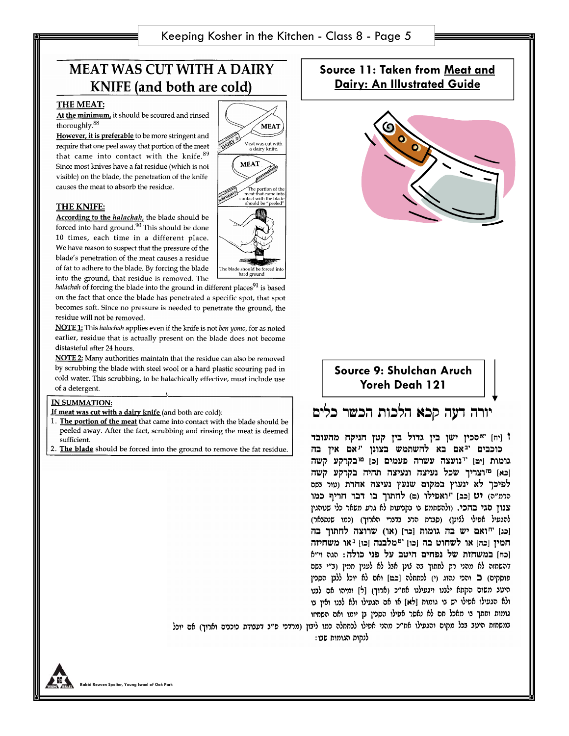MEAT

Meat was cut with<br>a dairy knife.

The portion of the<br>meat that came into<br>contact with the blade<br>should be "peeled"

**MEAT** 

The blade should b

DAIRY

# **MEAT WAS CUT WITH A DAIRY KNIFE** (and both are cold)

#### **THE MEAT:**

At the minimum, it should be scoured and rinsed thoroughly.<sup>88</sup>

However, it is preferable to be more stringent and require that one peel away that portion of the meat that came into contact with the knife. 89 Since most knives have a fat residue (which is not visible) on the blade, the penetration of the knife causes the meat to absorb the residue.

#### **THE KNIFE:**

According to the *halachah*, the blade should be forced into hard ground.<sup>90</sup> This should be done 10 times, each time in a different place. We have reason to suspect that the pressure of the blade's penetration of the meat causes a residue of fat to adhere to the blade. By forcing the blade into the ground, that residue is removed. The

halachah of forcing the blade into the ground in different places<sup>91</sup> is based on the fact that once the blade has penetrated a specific spot, that spot becomes soft. Since no pressure is needed to penetrate the ground, the residue will not be removed.

NOTE 1: This halachah applies even if the knife is not ben yomo, for as noted earlier, residue that is actually present on the blade does not become distasteful after 24 hours.

NOTE 2: Many authorities maintain that the residue can also be removed by scrubbing the blade with steel wool or a hard plastic scouring pad in cold water. This scrubbing, to be halachically effective, must include use of a detergent.

### **IN SUMMATION:**

If meat was cut with a dairy knife (and both are cold):

- 1. The portion of the meat that came into contact with the blade should be peeled away. After the fact, scrubbing and rinsing the meat is deemed sufficient.
- 2. The blade should be forced into the ground to remove the fat residue.

Source 11: Taken from Meat and **Dairy: An Illustrated Guide** 





## יורה דעה קכא הלכות הכשר כלים

<sup>†</sup> [יח] "אסכין ישן בין גדול בין קטן הניקח מהעובד כוכבים יגאם בא להשתמש בצונן "אם אין בה גומות [יט] "נועצה עשרה פעמים [כ] <sup>טו</sup>בקרקע קשה [כא] <sup>מו</sup>וצריך שכל נעיצה ונעיצה תהיה בקרקע קשה לפיכך לא ינעוץ במקום שנעץ נעיצה אחרת (טור נשס הרת"ה) יט [כב] "ואפילו (ם) לחתוך בו דבר חריף כמו צגון סגי בהכי. (ולהשתמש נו נקניעות לא גרע משאר כלי שנוהגין להגעיל אפילו ללונן) (סברת הרב בדברי הארוך) (כמו שנתבאר) [כג] "ואם יש בה גומות [כר] (או) שרוצה לחתוך בה חמין [כה] או לשחוט בה [כו] "מלבנה [כו] <sup>נ</sup>או משחיזה וכחן במשחזת של נפחים היטב על פני כולה: הגה וי"*6* דהשחזה לא מהני רק לחתוך בה לונן אבל לא לענין חמין (ב״י בשם פוסקים) ב והכי נהוג (י) לכתחלה [כמן ואם לא יוכל ללבן הסכין היטב משום הקתא ילבנו ויגעילנו אח״כ (ארוך) [ל] ומיהו אם לבנו ולא הגעילו אפילו יש בו גומות [לא] או אם הגעילו ולא לבנו ואין בו גומות וחתך בו מאכל חם לא נאסר אפילו הסכין בן יומו ואם השחיזו במשחזת היעד בכל מקום והגעילו אח״כ מהני אפילו לכתחלה כמו ליבון (מרדכי פ״ב דעבודת כוכבים וארוך) אם יוכל

לנקות הגומות שבו: